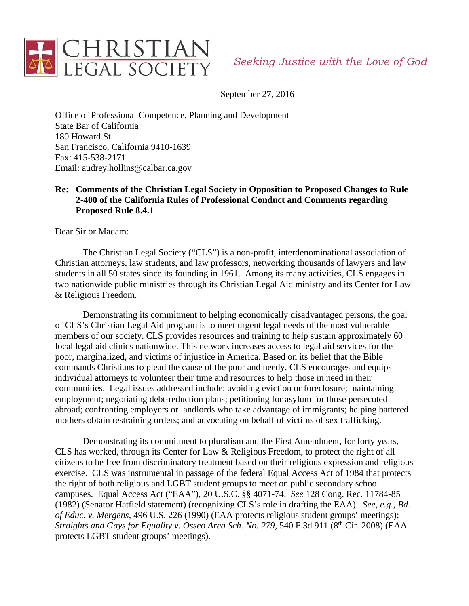

September 27, 2016

Office of Professional Competence, Planning and Development State Bar of California 180 Howard St. San Francisco, California 9410-1639 Fax: 415-538-2171 Email: audrey.hollins@calbar.ca.gov

# **Re: Comments of the Christian Legal Society in Opposition to Proposed Changes to Rule 2-400 of the California Rules of Professional Conduct and Comments regarding Proposed Rule 8.4.1**

Dear Sir or Madam:

The Christian Legal Society ("CLS") is a non-profit, interdenominational association of Christian attorneys, law students, and law professors, networking thousands of lawyers and law students in all 50 states since its founding in 1961. Among its many activities, CLS engages in two nationwide public ministries through its Christian Legal Aid ministry and its Center for Law & Religious Freedom.

Demonstrating its commitment to helping economically disadvantaged persons, the goal of CLS's Christian Legal Aid program is to meet urgent legal needs of the most vulnerable members of our society. CLS provides resources and training to help sustain approximately 60 local legal aid clinics nationwide. This network increases access to legal aid services for the poor, marginalized, and victims of injustice in America. Based on its belief that the Bible commands Christians to plead the cause of the poor and needy, CLS encourages and equips individual attorneys to volunteer their time and resources to help those in need in their communities. Legal issues addressed include: avoiding eviction or foreclosure; maintaining employment; negotiating debt-reduction plans; petitioning for asylum for those persecuted abroad; confronting employers or landlords who take advantage of immigrants; helping battered mothers obtain restraining orders; and advocating on behalf of victims of sex trafficking.

Demonstrating its commitment to pluralism and the First Amendment, for forty years, CLS has worked, through its Center for Law & Religious Freedom, to protect the right of all citizens to be free from discriminatory treatment based on their religious expression and religious exercise. CLS was instrumental in passage of the federal Equal Access Act of 1984 that protects the right of both religious and LGBT student groups to meet on public secondary school campuses. Equal Access Act ("EAA"), 20 U.S.C. §§ 4071-74. *See* 128 Cong. Rec. 11784-85 (1982) (Senator Hatfield statement) (recognizing CLS's role in drafting the EAA). *See*, *e.g.*, *Bd. of Educ. v. Mergens*, 496 U.S. 226 (1990) (EAA protects religious student groups' meetings); *Straights and Gays for Equality v. Osseo Area Sch. No. 279, 540 F.3d 911 (8<sup>th</sup> Cir. 2008) (EAA* protects LGBT student groups' meetings).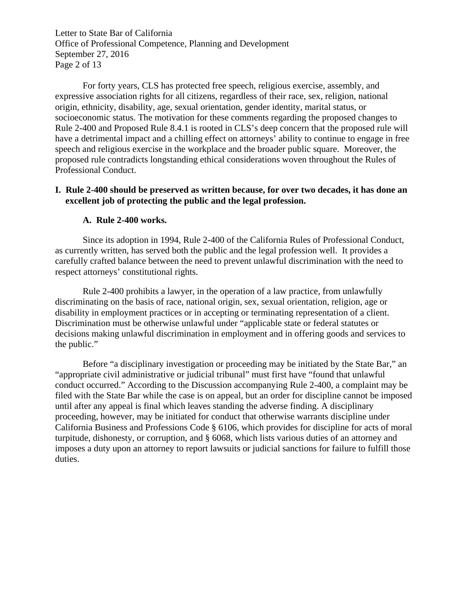Letter to State Bar of California Office of Professional Competence, Planning and Development September 27, 2016 Page 2 of 13

For forty years, CLS has protected free speech, religious exercise, assembly, and expressive association rights for all citizens, regardless of their race, sex, religion, national origin, ethnicity, disability, age, sexual orientation, gender identity, marital status, or socioeconomic status. The motivation for these comments regarding the proposed changes to Rule 2-400 and Proposed Rule 8.4.1 is rooted in CLS's deep concern that the proposed rule will have a detrimental impact and a chilling effect on attorneys' ability to continue to engage in free speech and religious exercise in the workplace and the broader public square. Moreover, the proposed rule contradicts longstanding ethical considerations woven throughout the Rules of Professional Conduct.

# **I. Rule 2-400 should be preserved as written because, for over two decades, it has done an excellent job of protecting the public and the legal profession.**

#### **A. Rule 2-400 works.**

 Since its adoption in 1994, Rule 2-400 of the California Rules of Professional Conduct, as currently written, has served both the public and the legal profession well. It provides a carefully crafted balance between the need to prevent unlawful discrimination with the need to respect attorneys' constitutional rights.

 Rule 2-400 prohibits a lawyer, in the operation of a law practice, from unlawfully discriminating on the basis of race, national origin, sex, sexual orientation, religion, age or disability in employment practices or in accepting or terminating representation of a client. Discrimination must be otherwise unlawful under "applicable state or federal statutes or decisions making unlawful discrimination in employment and in offering goods and services to the public."

 Before "a disciplinary investigation or proceeding may be initiated by the State Bar," an "appropriate civil administrative or judicial tribunal" must first have "found that unlawful conduct occurred." According to the Discussion accompanying Rule 2-400, a complaint may be filed with the State Bar while the case is on appeal, but an order for discipline cannot be imposed until after any appeal is final which leaves standing the adverse finding. A disciplinary proceeding, however, may be initiated for conduct that otherwise warrants discipline under California Business and Professions Code § 6106, which provides for discipline for acts of moral turpitude, dishonesty, or corruption, and § 6068, which lists various duties of an attorney and imposes a duty upon an attorney to report lawsuits or judicial sanctions for failure to fulfill those duties.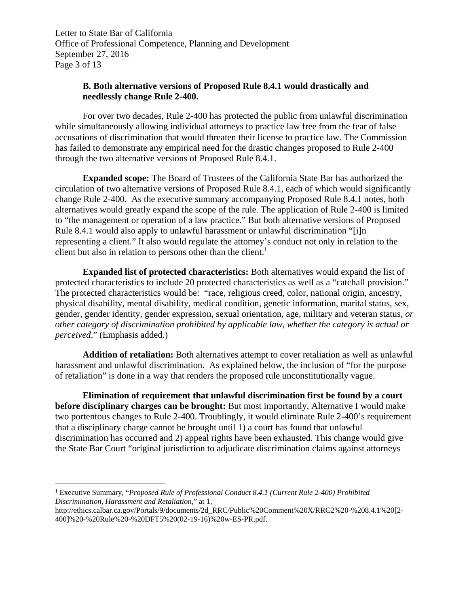Letter to State Bar of California Office of Professional Competence, Planning and Development September 27, 2016 Page 3 of 13

# **B. Both alternative versions of Proposed Rule 8.4.1 would drastically and needlessly change Rule 2-400.**

For over two decades, Rule 2-400 has protected the public from unlawful discrimination while simultaneously allowing individual attorneys to practice law free from the fear of false accusations of discrimination that would threaten their license to practice law. The Commission has failed to demonstrate any empirical need for the drastic changes proposed to Rule 2-400 through the two alternative versions of Proposed Rule 8.4.1.

**Expanded scope:** The Board of Trustees of the California State Bar has authorized the circulation of two alternative versions of Proposed Rule 8.4.1, each of which would significantly change Rule 2-400. As the executive summary accompanying Proposed Rule 8.4.1 notes, both alternatives would greatly expand the scope of the rule. The application of Rule 2-400 is limited to "the management or operation of a law practice." But both alternative versions of Proposed Rule 8.4.1 would also apply to unlawful harassment or unlawful discrimination "[i]n representing a client." It also would regulate the attorney's conduct not only in relation to the client but also in relation to persons other than the client.<sup>1</sup>

**Expanded list of protected characteristics:** Both alternatives would expand the list of protected characteristics to include 20 protected characteristics as well as a "catchall provision." The protected characteristics would be: "race, religious creed, color, national origin, ancestry, physical disability, mental disability, medical condition, genetic information, marital status, sex, gender, gender identity, gender expression, sexual orientation, age, military and veteran status, *or other category of discrimination prohibited by applicable law, whether the category is actual or perceived*." (Emphasis added.)

**Addition of retaliation:** Both alternatives attempt to cover retaliation as well as unlawful harassment and unlawful discrimination. As explained below, the inclusion of "for the purpose of retaliation" is done in a way that renders the proposed rule unconstitutionally vague.

**Elimination of requirement that unlawful discrimination first be found by a court before disciplinary charges can be brought:** But most importantly, Alternative I would make two portentous changes to Rule 2-400. Troublingly, it would eliminate Rule 2-400's requirement that a disciplinary charge cannot be brought until 1) a court has found that unlawful discrimination has occurred and 2) appeal rights have been exhausted. This change would give the State Bar Court "original jurisdiction to adjudicate discrimination claims against attorneys

<sup>&</sup>lt;sup>1</sup> Executive Summary, "*Proposed Rule of Professional Conduct 8.4.1 (Current Rule 2-400) Prohibited Discrimination, Harassment and Retaliation*," at 1,

http://ethics.calbar.ca.gov/Portals/9/documents/2d\_RRC/Public%20Comment%20X/RRC2%20-%208.4.1%20[2- 400]%20-%20Rule%20-%20DFT5%20(02-19-16)%20w-ES-PR.pdf.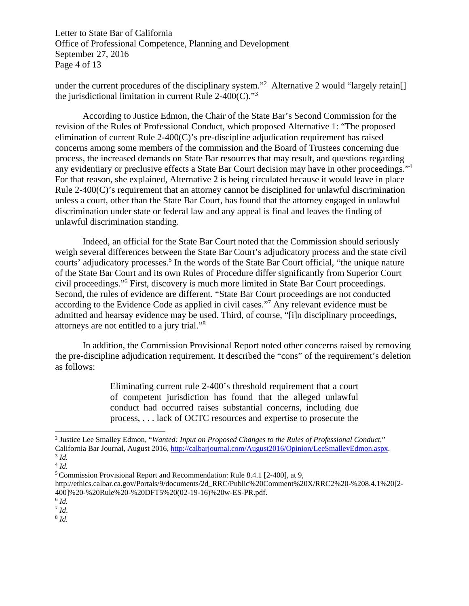Letter to State Bar of California Office of Professional Competence, Planning and Development September 27, 2016 Page 4 of 13

under the current procedures of the disciplinary system."<sup>2</sup> Alternative 2 would "largely retain[] the jurisdictional limitation in current Rule  $2-400(C)$ ."<sup>3</sup>

 According to Justice Edmon, the Chair of the State Bar's Second Commission for the revision of the Rules of Professional Conduct, which proposed Alternative 1: "The proposed elimination of current Rule 2-400(C)'s pre-discipline adjudication requirement has raised concerns among some members of the commission and the Board of Trustees concerning due process, the increased demands on State Bar resources that may result, and questions regarding any evidentiary or preclusive effects a State Bar Court decision may have in other proceedings."4 For that reason, she explained, Alternative 2 is being circulated because it would leave in place Rule 2-400(C)'s requirement that an attorney cannot be disciplined for unlawful discrimination unless a court, other than the State Bar Court, has found that the attorney engaged in unlawful discrimination under state or federal law and any appeal is final and leaves the finding of unlawful discrimination standing.

 Indeed, an official for the State Bar Court noted that the Commission should seriously weigh several differences between the State Bar Court's adjudicatory process and the state civil courts' adjudicatory processes.<sup>5</sup> In the words of the State Bar Court official, "the unique nature of the State Bar Court and its own Rules of Procedure differ significantly from Superior Court civil proceedings."6 First, discovery is much more limited in State Bar Court proceedings. Second, the rules of evidence are different. "State Bar Court proceedings are not conducted according to the Evidence Code as applied in civil cases."<sup>7</sup> Any relevant evidence must be admitted and hearsay evidence may be used. Third, of course, "[i]n disciplinary proceedings, attorneys are not entitled to a jury trial."8

 In addition, the Commission Provisional Report noted other concerns raised by removing the pre-discipline adjudication requirement. It described the "cons" of the requirement's deletion as follows:

> Eliminating current rule 2-400's threshold requirement that a court of competent jurisdiction has found that the alleged unlawful conduct had occurred raises substantial concerns, including due process, . . . lack of OCTC resources and expertise to prosecute the

 $\overline{a}$ 

 $^8$  *Id.* 

<sup>&</sup>lt;sup>2</sup> Justice Lee Smalley Edmon, "*Wanted: Input on Proposed Changes to the Rules of Professional Conduct*," California Bar Journal, August 2016, http://calbarjournal.com/August2016/Opinion/LeeSmalleyEdmon.aspx. 3 *Id.* 

 $4$  *Id.* 

<sup>5</sup> Commission Provisional Report and Recommendation: Rule 8.4.1 [2-400], at 9,

http://ethics.calbar.ca.gov/Portals/9/documents/2d\_RRC/Public%20Comment%20X/RRC2%20-%208.4.1%20[2- 400]%20-%20Rule%20-%20DFT5%20(02-19-16)%20w-ES-PR.pdf.

 $\frac{6}{7}$  *Id.*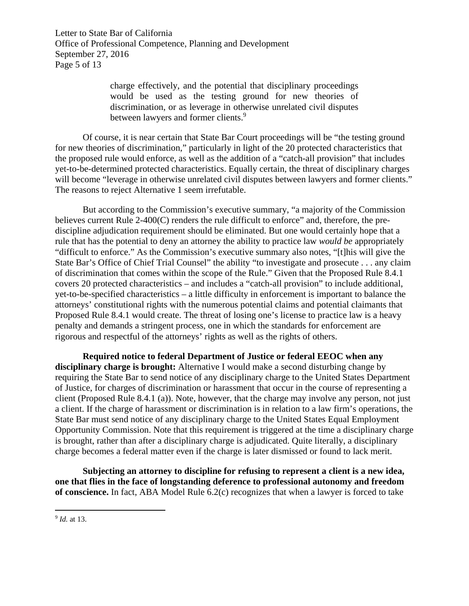Letter to State Bar of California Office of Professional Competence, Planning and Development September 27, 2016 Page 5 of 13

> charge effectively, and the potential that disciplinary proceedings would be used as the testing ground for new theories of discrimination, or as leverage in otherwise unrelated civil disputes between lawyers and former clients.<sup>9</sup>

 Of course, it is near certain that State Bar Court proceedings will be "the testing ground for new theories of discrimination," particularly in light of the 20 protected characteristics that the proposed rule would enforce, as well as the addition of a "catch-all provision" that includes yet-to-be-determined protected characteristics. Equally certain, the threat of disciplinary charges will become "leverage in otherwise unrelated civil disputes between lawyers and former clients." The reasons to reject Alternative 1 seem irrefutable.

 But according to the Commission's executive summary, "a majority of the Commission believes current Rule 2-400(C) renders the rule difficult to enforce" and, therefore, the prediscipline adjudication requirement should be eliminated. But one would certainly hope that a rule that has the potential to deny an attorney the ability to practice law *would be* appropriately "difficult to enforce." As the Commission's executive summary also notes, "[t]his will give the State Bar's Office of Chief Trial Counsel" the ability "to investigate and prosecute . . . any claim of discrimination that comes within the scope of the Rule." Given that the Proposed Rule 8.4.1 covers 20 protected characteristics – and includes a "catch-all provision" to include additional, yet-to-be-specified characteristics – a little difficulty in enforcement is important to balance the attorneys' constitutional rights with the numerous potential claims and potential claimants that Proposed Rule 8.4.1 would create. The threat of losing one's license to practice law is a heavy penalty and demands a stringent process, one in which the standards for enforcement are rigorous and respectful of the attorneys' rights as well as the rights of others.

**Required notice to federal Department of Justice or federal EEOC when any disciplinary charge is brought:** Alternative I would make a second disturbing change by requiring the State Bar to send notice of any disciplinary charge to the United States Department of Justice, for charges of discrimination or harassment that occur in the course of representing a client (Proposed Rule 8.4.1 (a)). Note, however, that the charge may involve any person, not just a client. If the charge of harassment or discrimination is in relation to a law firm's operations, the State Bar must send notice of any disciplinary charge to the United States Equal Employment Opportunity Commission. Note that this requirement is triggered at the time a disciplinary charge is brought, rather than after a disciplinary charge is adjudicated. Quite literally, a disciplinary charge becomes a federal matter even if the charge is later dismissed or found to lack merit.

**Subjecting an attorney to discipline for refusing to represent a client is a new idea, one that flies in the face of longstanding deference to professional autonomy and freedom of conscience.** In fact, ABA Model Rule 6.2(c) recognizes that when a lawyer is forced to take

<sup>9</sup> *Id.* at 13.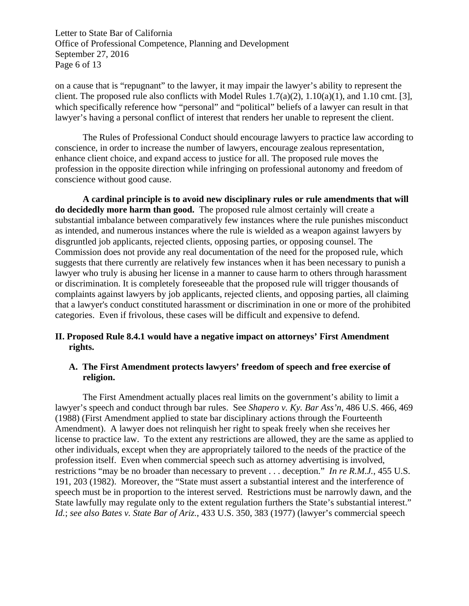Letter to State Bar of California Office of Professional Competence, Planning and Development September 27, 2016 Page 6 of 13

on a cause that is "repugnant" to the lawyer, it may impair the lawyer's ability to represent the client. The proposed rule also conflicts with Model Rules  $1.7(a)(2)$ ,  $1.10(a)(1)$ , and  $1.10 \text{ cm}$ t. [3], which specifically reference how "personal" and "political" beliefs of a lawyer can result in that lawyer's having a personal conflict of interest that renders her unable to represent the client.

The Rules of Professional Conduct should encourage lawyers to practice law according to conscience, in order to increase the number of lawyers, encourage zealous representation, enhance client choice, and expand access to justice for all. The proposed rule moves the profession in the opposite direction while infringing on professional autonomy and freedom of conscience without good cause.

 **A cardinal principle is to avoid new disciplinary rules or rule amendments that will do decidedly more harm than good.** The proposed rule almost certainly will create a substantial imbalance between comparatively few instances where the rule punishes misconduct as intended, and numerous instances where the rule is wielded as a weapon against lawyers by disgruntled job applicants, rejected clients, opposing parties, or opposing counsel. The Commission does not provide any real documentation of the need for the proposed rule, which suggests that there currently are relatively few instances when it has been necessary to punish a lawyer who truly is abusing her license in a manner to cause harm to others through harassment or discrimination. It is completely foreseeable that the proposed rule will trigger thousands of complaints against lawyers by job applicants, rejected clients, and opposing parties, all claiming that a lawyer's conduct constituted harassment or discrimination in one or more of the prohibited categories. Even if frivolous, these cases will be difficult and expensive to defend.

# **II. Proposed Rule 8.4.1 would have a negative impact on attorneys' First Amendment rights.**

# **A. The First Amendment protects lawyers' freedom of speech and free exercise of religion.**

 The First Amendment actually places real limits on the government's ability to limit a lawyer's speech and conduct through bar rules. See *Shapero v. Ky. Bar Ass'n*, 486 U.S. 466, 469 (1988) (First Amendment applied to state bar disciplinary actions through the Fourteenth Amendment). A lawyer does not relinquish her right to speak freely when she receives her license to practice law. To the extent any restrictions are allowed, they are the same as applied to other individuals, except when they are appropriately tailored to the needs of the practice of the profession itself. Even when commercial speech such as attorney advertising is involved, restrictions "may be no broader than necessary to prevent . . . deception." *In re R.M.J.*, 455 U.S. 191, 203 (1982). Moreover, the "State must assert a substantial interest and the interference of speech must be in proportion to the interest served. Restrictions must be narrowly dawn, and the State lawfully may regulate only to the extent regulation furthers the State's substantial interest." *Id.*; *see also Bates v. State Bar of Ariz.*, 433 U.S. 350, 383 (1977) (lawyer's commercial speech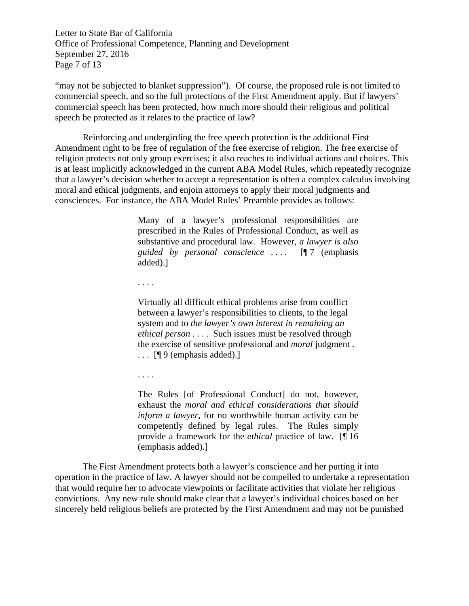Letter to State Bar of California Office of Professional Competence, Planning and Development September 27, 2016 Page 7 of 13

"may not be subjected to blanket suppression"). Of course, the proposed rule is not limited to commercial speech, and so the full protections of the First Amendment apply. But if lawyers' commercial speech has been protected, how much more should their religious and political speech be protected as it relates to the practice of law?

 Reinforcing and undergirding the free speech protection is the additional First Amendment right to be free of regulation of the free exercise of religion. The free exercise of religion protects not only group exercises; it also reaches to individual actions and choices. This is at least implicitly acknowledged in the current ABA Model Rules, which repeatedly recognize that a lawyer's decision whether to accept a representation is often a complex calculus involving moral and ethical judgments, and enjoin attorneys to apply their moral judgments and consciences. For instance, the ABA Model Rules' Preamble provides as follows:

> Many of a lawyer's professional responsibilities are prescribed in the Rules of Professional Conduct, as well as substantive and procedural law. However, *a lawyer is also guided by personal conscience* . . . . [¶ 7 (emphasis added).]

. . . .

Virtually all difficult ethical problems arise from conflict between a lawyer's responsibilities to clients, to the legal system and to *the lawyer's own interest in remaining an ethical person* . . . . Such issues must be resolved through the exercise of sensitive professional and *moral* judgment .  $\ldots$  [[9] (emphasis added).]

. . . .

The Rules [of Professional Conduct] do not, however, exhaust the *moral and ethical considerations that should inform a lawyer*, for no worthwhile human activity can be competently defined by legal rules. The Rules simply provide a framework for the *ethical* practice of law. [¶ 16 (emphasis added).]

The First Amendment protects both a lawyer's conscience and her putting it into operation in the practice of law. A lawyer should not be compelled to undertake a representation that would require her to advocate viewpoints or facilitate activities that violate her religious convictions. Any new rule should make clear that a lawyer's individual choices based on her sincerely held religious beliefs are protected by the First Amendment and may not be punished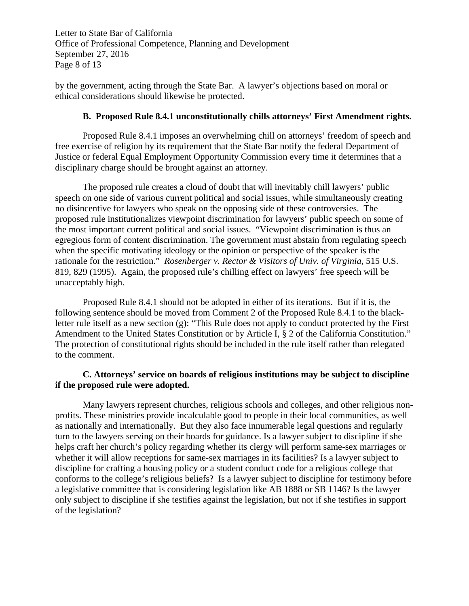Letter to State Bar of California Office of Professional Competence, Planning and Development September 27, 2016 Page 8 of 13

by the government, acting through the State Bar. A lawyer's objections based on moral or ethical considerations should likewise be protected.

# **B. Proposed Rule 8.4.1 unconstitutionally chills attorneys' First Amendment rights.**

Proposed Rule 8.4.1 imposes an overwhelming chill on attorneys' freedom of speech and free exercise of religion by its requirement that the State Bar notify the federal Department of Justice or federal Equal Employment Opportunity Commission every time it determines that a disciplinary charge should be brought against an attorney.

The proposed rule creates a cloud of doubt that will inevitably chill lawyers' public speech on one side of various current political and social issues, while simultaneously creating no disincentive for lawyers who speak on the opposing side of these controversies. The proposed rule institutionalizes viewpoint discrimination for lawyers' public speech on some of the most important current political and social issues. "Viewpoint discrimination is thus an egregious form of content discrimination. The government must abstain from regulating speech when the specific motivating ideology or the opinion or perspective of the speaker is the rationale for the restriction." *Rosenberger v. Rector & Visitors of Univ. of Virginia*, 515 U.S. 819, 829 (1995). Again, the proposed rule's chilling effect on lawyers' free speech will be unacceptably high.

 Proposed Rule 8.4.1 should not be adopted in either of its iterations. But if it is, the following sentence should be moved from Comment 2 of the Proposed Rule 8.4.1 to the blackletter rule itself as a new section (g): "This Rule does not apply to conduct protected by the First Amendment to the United States Constitution or by Article I, § 2 of the California Constitution." The protection of constitutional rights should be included in the rule itself rather than relegated to the comment.

# **C. Attorneys' service on boards of religious institutions may be subject to discipline if the proposed rule were adopted.**

Many lawyers represent churches, religious schools and colleges, and other religious nonprofits. These ministries provide incalculable good to people in their local communities, as well as nationally and internationally. But they also face innumerable legal questions and regularly turn to the lawyers serving on their boards for guidance. Is a lawyer subject to discipline if she helps craft her church's policy regarding whether its clergy will perform same-sex marriages or whether it will allow receptions for same-sex marriages in its facilities? Is a lawyer subject to discipline for crafting a housing policy or a student conduct code for a religious college that conforms to the college's religious beliefs? Is a lawyer subject to discipline for testimony before a legislative committee that is considering legislation like AB 1888 or SB 1146? Is the lawyer only subject to discipline if she testifies against the legislation, but not if she testifies in support of the legislation?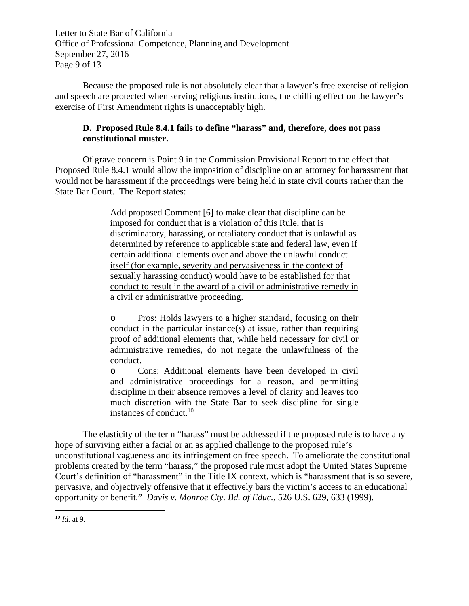Letter to State Bar of California Office of Professional Competence, Planning and Development September 27, 2016 Page 9 of 13

Because the proposed rule is not absolutely clear that a lawyer's free exercise of religion and speech are protected when serving religious institutions, the chilling effect on the lawyer's exercise of First Amendment rights is unacceptably high.

# **D. Proposed Rule 8.4.1 fails to define "harass" and, therefore, does not pass constitutional muster.**

Of grave concern is Point 9 in the Commission Provisional Report to the effect that Proposed Rule 8.4.1 would allow the imposition of discipline on an attorney for harassment that would not be harassment if the proceedings were being held in state civil courts rather than the State Bar Court. The Report states:

> Add proposed Comment [6] to make clear that discipline can be imposed for conduct that is a violation of this Rule, that is discriminatory, harassing, or retaliatory conduct that is unlawful as determined by reference to applicable state and federal law, even if certain additional elements over and above the unlawful conduct itself (for example, severity and pervasiveness in the context of sexually harassing conduct) would have to be established for that conduct to result in the award of a civil or administrative remedy in a civil or administrative proceeding.

> o Pros: Holds lawyers to a higher standard, focusing on their conduct in the particular instance(s) at issue, rather than requiring proof of additional elements that, while held necessary for civil or administrative remedies, do not negate the unlawfulness of the conduct.

> o Cons: Additional elements have been developed in civil and administrative proceedings for a reason, and permitting discipline in their absence removes a level of clarity and leaves too much discretion with the State Bar to seek discipline for single instances of conduct.10

The elasticity of the term "harass" must be addressed if the proposed rule is to have any hope of surviving either a facial or an as applied challenge to the proposed rule's unconstitutional vagueness and its infringement on free speech. To ameliorate the constitutional problems created by the term "harass," the proposed rule must adopt the United States Supreme Court's definition of "harassment" in the Title IX context, which is "harassment that is so severe, pervasive, and objectively offensive that it effectively bars the victim's access to an educational opportunity or benefit." *Davis v. Monroe Cty. Bd. of Educ.*, 526 U.S. 629, 633 (1999).

<sup>10</sup> *Id.* at 9.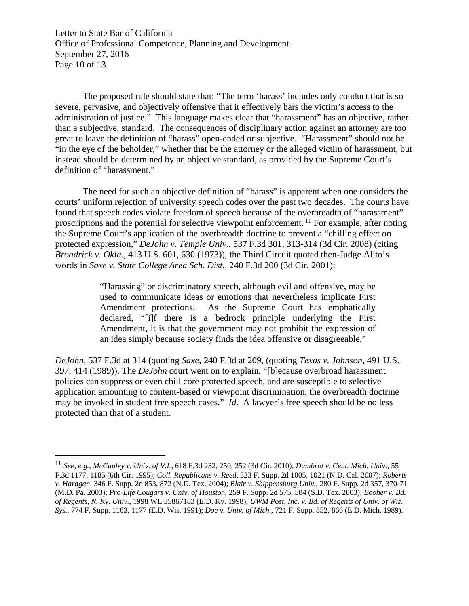Letter to State Bar of California Office of Professional Competence, Planning and Development September 27, 2016 Page 10 of 13

The proposed rule should state that: "The term 'harass' includes only conduct that is so severe, pervasive, and objectively offensive that it effectively bars the victim's access to the administration of justice." This language makes clear that "harassment" has an objective, rather than a subjective, standard. The consequences of disciplinary action against an attorney are too great to leave the definition of "harass" open-ended or subjective. "Harassment" should not be "in the eye of the beholder," whether that be the attorney or the alleged victim of harassment, but instead should be determined by an objective standard, as provided by the Supreme Court's definition of "harassment."

The need for such an objective definition of "harass" is apparent when one considers the courts' uniform rejection of university speech codes over the past two decades. The courts have found that speech codes violate freedom of speech because of the overbreadth of "harassment" proscriptions and the potential for selective viewpoint enforcement. 11 For example, after noting the Supreme Court's application of the overbreadth doctrine to prevent a "chilling effect on protected expression," *DeJohn v. Temple Univ.*, 537 F.3d 301, 313-314 (3d Cir. 2008) (citing *Broadrick v. Okla*., 413 U.S. 601, 630 (1973)), the Third Circuit quoted then-Judge Alito's words in *Saxe v. State College Area Sch. Dist.*, 240 F.3d 200 (3d Cir. 2001):

> "Harassing" or discriminatory speech, although evil and offensive, may be used to communicate ideas or emotions that nevertheless implicate First Amendment protections. As the Supreme Court has emphatically declared, "[i]f there is a bedrock principle underlying the First Amendment, it is that the government may not prohibit the expression of an idea simply because society finds the idea offensive or disagreeable."

*DeJohn*, 537 F.3d at 314 (quoting *Saxe*, 240 F.3d at 209, (quoting *Texas v. Johnson*, 491 U.S. 397, 414 (1989)). The *DeJohn* court went on to explain, "[b]ecause overbroad harassment policies can suppress or even chill core protected speech, and are susceptible to selective application amounting to content-based or viewpoint discrimination, the overbreadth doctrine may be invoked in student free speech cases." *Id*. A lawyer's free speech should be no less protected than that of a student.

<sup>11</sup> *See*, *e.g.*, *McCauley v. Univ. of V.I.*, 618 F.3d 232, 250, 252 (3d Cir. 2010); *Dambrot v. Cent. Mich. Univ.*, 55 F.3d 1177, 1185 (6th Cir. 1995); *Coll. Republicans v. Reed*, 523 F. Supp. 2d 1005, 1021 (N.D. Cal. 2007); *Roberts v. Haragan*, 346 F. Supp. 2d 853, 872 (N.D. Tex. 2004); *Blair v. Shippensburg Univ.*, 280 F. Supp. 2d 357, 370-71 (M.D. Pa. 2003); *Pro-Life Cougars v. Univ. of Houston*, 259 F. Supp. 2d 575, 584 (S.D. Tex. 2003); *Booher v. Bd. of Regents, N. Ky. Univ.*, 1998 WL 35867183 (E.D. Ky. 1998); *UWM Post, Inc. v. Bd. of Regents of Univ. of Wis. Sys.*, 774 F. Supp. 1163, 1177 (E.D. Wis. 1991); *Doe v. Univ. of Mich.*, 721 F. Supp. 852, 866 (E.D. Mich. 1989).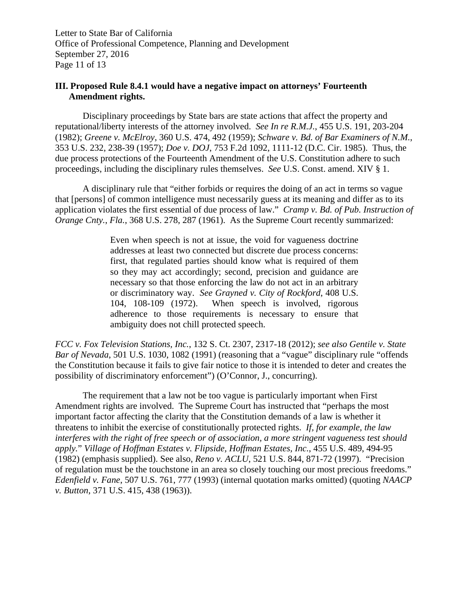Letter to State Bar of California Office of Professional Competence, Planning and Development September 27, 2016 Page 11 of 13

# **III. Proposed Rule 8.4.1 would have a negative impact on attorneys' Fourteenth Amendment rights.**

Disciplinary proceedings by State bars are state actions that affect the property and reputational/liberty interests of the attorney involved. *See In re R.M.J.*, 455 U.S. 191, 203-204 (1982); *Greene v. McElroy*, 360 U.S. 474, 492 (1959); *Schware v. Bd. of Bar Examiners of N.M.*, 353 U.S. 232, 238-39 (1957); *Doe v. DOJ*, 753 F.2d 1092, 1111-12 (D.C. Cir. 1985). Thus, the due process protections of the Fourteenth Amendment of the U.S. Constitution adhere to such proceedings, including the disciplinary rules themselves. *See* U.S. Const. amend. XIV § 1.

A disciplinary rule that "either forbids or requires the doing of an act in terms so vague that [persons] of common intelligence must necessarily guess at its meaning and differ as to its application violates the first essential of due process of law." *Cramp v. Bd. of Pub. Instruction of Orange Cnty.*, *Fla.*, 368 U.S. 278, 287 (1961). As the Supreme Court recently summarized:

> Even when speech is not at issue, the void for vagueness doctrine addresses at least two connected but discrete due process concerns: first, that regulated parties should know what is required of them so they may act accordingly; second, precision and guidance are necessary so that those enforcing the law do not act in an arbitrary or discriminatory way. *See Grayned v. City of Rockford*, 408 U.S. 104, 108-109 (1972). When speech is involved, rigorous adherence to those requirements is necessary to ensure that ambiguity does not chill protected speech.

*FCC v. Fox Television Stations, Inc.*, 132 S. Ct. 2307, 2317-18 (2012); *see also Gentile v. State Bar of Nevada*, 501 U.S. 1030, 1082 (1991) (reasoning that a "vague" disciplinary rule "offends the Constitution because it fails to give fair notice to those it is intended to deter and creates the possibility of discriminatory enforcement") (O'Connor, J., concurring).

 The requirement that a law not be too vague is particularly important when First Amendment rights are involved. The Supreme Court has instructed that "perhaps the most important factor affecting the clarity that the Constitution demands of a law is whether it threatens to inhibit the exercise of constitutionally protected rights. *If, for example, the law interferes with the right of free speech or of association, a more stringent vagueness test should apply.*" *Village of Hoffman Estates v. Flipside, Hoffman Estates, Inc.*, 455 U.S. 489, 494-95 (1982) (emphasis supplied). See also, *Reno v. ACLU*, 521 U.S. 844, 871-72 (1997). "Precision of regulation must be the touchstone in an area so closely touching our most precious freedoms." *Edenfield v. Fane*, 507 U.S. 761, 777 (1993) (internal quotation marks omitted) (quoting *NAACP v. Button*, 371 U.S. 415, 438 (1963)).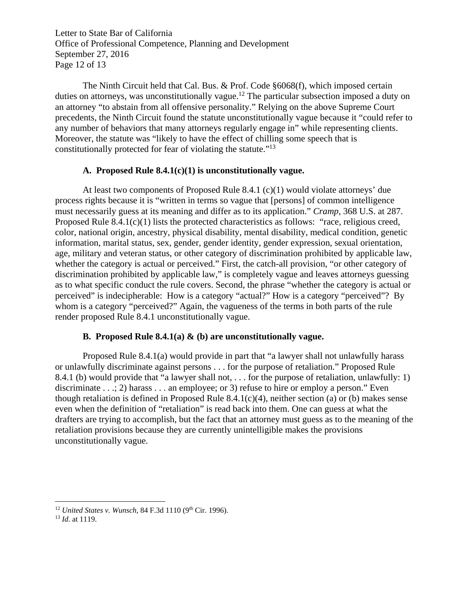Letter to State Bar of California Office of Professional Competence, Planning and Development September 27, 2016 Page 12 of 13

 The Ninth Circuit held that Cal. Bus. & Prof. Code §6068(f), which imposed certain duties on attorneys, was unconstitutionally vague.<sup>12</sup> The particular subsection imposed a duty on an attorney "to abstain from all offensive personality." Relying on the above Supreme Court precedents, the Ninth Circuit found the statute unconstitutionally vague because it "could refer to any number of behaviors that many attorneys regularly engage in" while representing clients. Moreover, the statute was "likely to have the effect of chilling some speech that is constitutionally protected for fear of violating the statute."13

#### **A. Proposed Rule 8.4.1(c)(1) is unconstitutionally vague.**

At least two components of Proposed Rule 8.4.1 (c)(1) would violate attorneys' due process rights because it is "written in terms so vague that [persons] of common intelligence must necessarily guess at its meaning and differ as to its application." *Cramp,* 368 U.S. at 287. Proposed Rule 8.4.1(c)(1) lists the protected characteristics as follows: "race, religious creed, color, national origin, ancestry, physical disability, mental disability, medical condition, genetic information, marital status, sex, gender, gender identity, gender expression, sexual orientation, age, military and veteran status, or other category of discrimination prohibited by applicable law, whether the category is actual or perceived." First, the catch-all provision, "or other category of discrimination prohibited by applicable law," is completely vague and leaves attorneys guessing as to what specific conduct the rule covers. Second, the phrase "whether the category is actual or perceived" is indecipherable: How is a category "actual?" How is a category "perceived"? By whom is a category "perceived?" Again, the vagueness of the terms in both parts of the rule render proposed Rule 8.4.1 unconstitutionally vague.

### **B. Proposed Rule 8.4.1(a) & (b) are unconstitutionally vague.**

 Proposed Rule 8.4.1(a) would provide in part that "a lawyer shall not unlawfully harass or unlawfully discriminate against persons . . . for the purpose of retaliation." Proposed Rule 8.4.1 (b) would provide that "a lawyer shall not, . . . for the purpose of retaliation, unlawfully: 1) discriminate . . .; 2) harass . . . an employee; or 3) refuse to hire or employ a person." Even though retaliation is defined in Proposed Rule 8.4.1(c)(4), neither section (a) or (b) makes sense even when the definition of "retaliation" is read back into them. One can guess at what the drafters are trying to accomplish, but the fact that an attorney must guess as to the meaning of the retaliation provisions because they are currently unintelligible makes the provisions unconstitutionally vague.

<sup>&</sup>lt;sup>12</sup> *United States v. Wunsch*, 84 F.3d 1110 (9<sup>th</sup> Cir. 1996).<br><sup>13</sup> *Id.* at 1119.